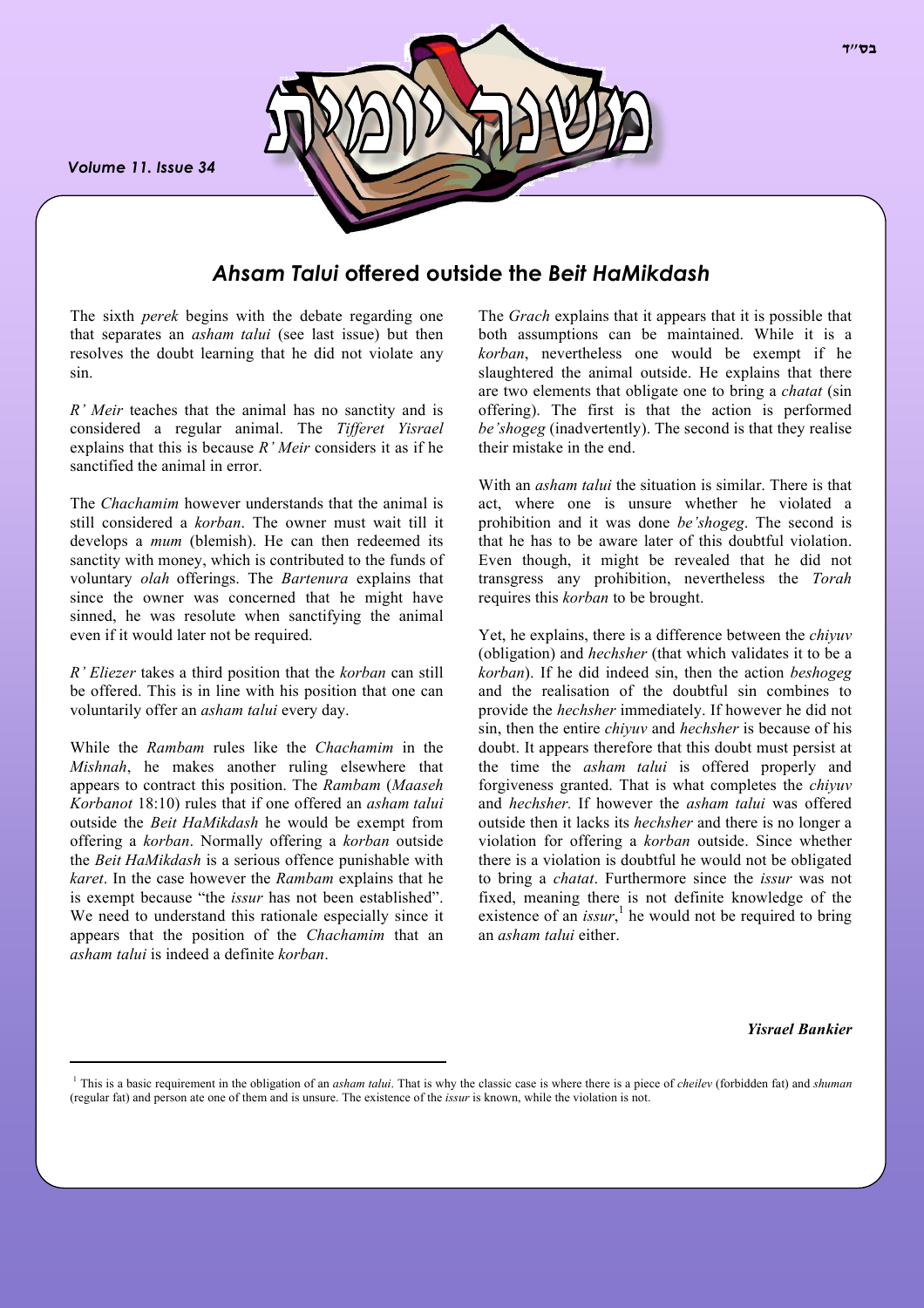*Volume 11. Issue 34*



# *Ahsam Talui* **offered outside the** *Beit HaMikdash*

The sixth *perek* begins with the debate regarding one that separates an *asham talui* (see last issue) but then resolves the doubt learning that he did not violate any sin.

*R' Meir* teaches that the animal has no sanctity and is considered a regular animal. The *Tifferet Yisrael* explains that this is because *R' Meir* considers it as if he sanctified the animal in error.

The *Chachamim* however understands that the animal is still considered a *korban*. The owner must wait till it develops a *mum* (blemish). He can then redeemed its sanctity with money, which is contributed to the funds of voluntary *olah* offerings. The *Bartenura* explains that since the owner was concerned that he might have sinned, he was resolute when sanctifying the animal even if it would later not be required.

*R' Eliezer* takes a third position that the *korban* can still be offered. This is in line with his position that one can voluntarily offer an *asham talui* every day.

While the *Rambam* rules like the *Chachamim* in the *Mishnah*, he makes another ruling elsewhere that appears to contract this position. The *Rambam* (*Maaseh Korbanot* 18:10) rules that if one offered an *asham talui* outside the *Beit HaMikdash* he would be exempt from offering a *korban*. Normally offering a *korban* outside the *Beit HaMikdash* is a serious offence punishable with *karet*. In the case however the *Rambam* explains that he is exempt because "the *issur* has not been established". We need to understand this rationale especially since it appears that the position of the *Chachamim* that an *asham talui* is indeed a definite *korban*.

The *Grach* explains that it appears that it is possible that both assumptions can be maintained. While it is a *korban*, nevertheless one would be exempt if he slaughtered the animal outside. He explains that there are two elements that obligate one to bring a *chatat* (sin offering). The first is that the action is performed *be'shogeg* (inadvertently). The second is that they realise their mistake in the end.

With an *asham talui* the situation is similar. There is that act, where one is unsure whether he violated a prohibition and it was done *be'shogeg*. The second is that he has to be aware later of this doubtful violation. Even though, it might be revealed that he did not transgress any prohibition, nevertheless the *Torah* requires this *korban* to be brought.

Yet, he explains, there is a difference between the *chiyuv* (obligation) and *hechsher* (that which validates it to be a *korban*). If he did indeed sin, then the action *beshogeg* and the realisation of the doubtful sin combines to provide the *hechsher* immediately. If however he did not sin, then the entire *chiyuv* and *hechsher* is because of his doubt. It appears therefore that this doubt must persist at the time the *asham talui* is offered properly and forgiveness granted. That is what completes the *chiyuv* and *hechsher.* If however the *asham talui* was offered outside then it lacks its *hechsher* and there is no longer a violation for offering a *korban* outside. Since whether there is a violation is doubtful he would not be obligated to bring a *chatat*. Furthermore since the *issur* was not fixed, meaning there is not definite knowledge of the existence of an  $issur$ ,<sup>1</sup> he would not be required to bring an *asham talui* either.

*Yisrael Bankier*

<sup>1</sup> This is a basic requirement in the obligation of an *asham talui*. That is why the classic case is where there is a piece of *cheilev* (forbidden fat) and *shuman* (regular fat) and person ate one of them and is unsure. The existence of the *issur* is known, while the violation is not.